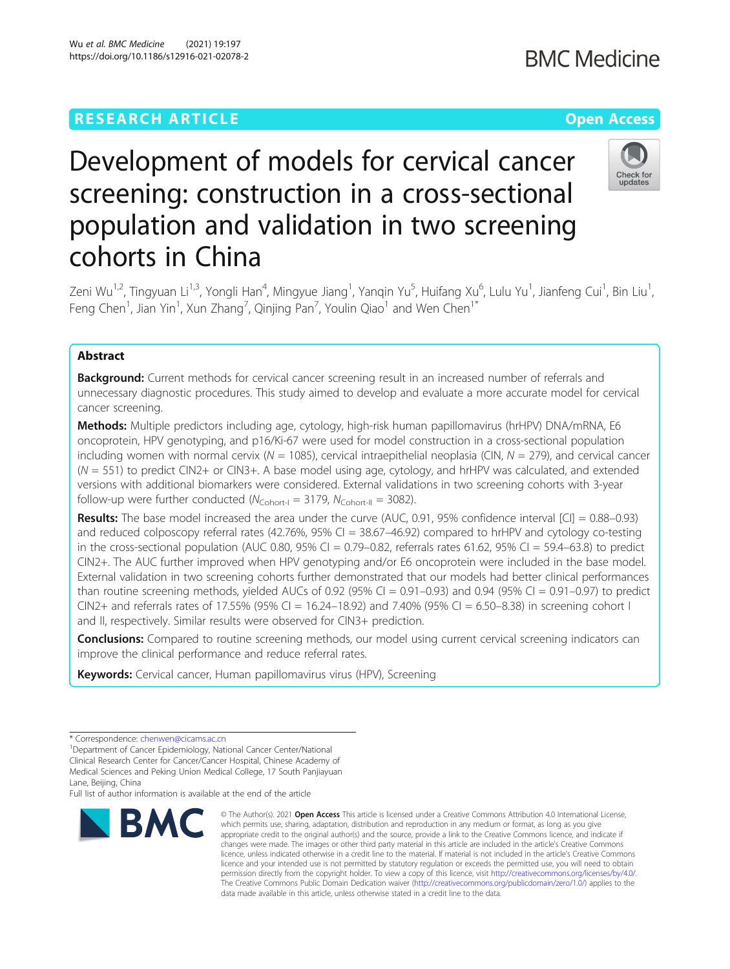# **RESEARCH ARTICLE Example 2014 12:30 The Contract of Contract ACCESS**

# **BMC Medicine**

# Check for undate

# Development of models for cervical cancer screening: construction in a cross-sectional population and validation in two screening cohorts in China

Zeni Wu<sup>1,2</sup>, Tingyuan Li<sup>1,3</sup>, Yongli Han<sup>4</sup>, Mingyue Jiang<sup>1</sup>, Yanqin Yu<sup>5</sup>, Huifang Xu<sup>6</sup>, Lulu Yu<sup>1</sup>, Jianfeng Cui<sup>1</sup>, Bin Liu<sup>1</sup> , Feng Chen $^1$ , Jian Yin $^1$ , Xun Zhang $^7$ , Qinjing Pan $^7$ , Youlin Qiao $^1$  and Wen Chen $^1{}^*$ 

# Abstract

**Background:** Current methods for cervical cancer screening result in an increased number of referrals and unnecessary diagnostic procedures. This study aimed to develop and evaluate a more accurate model for cervical cancer screening.

Methods: Multiple predictors including age, cytology, high-risk human papillomavirus (hrHPV) DNA/mRNA, E6 oncoprotein, HPV genotyping, and p16/Ki-67 were used for model construction in a cross-sectional population including women with normal cervix ( $N = 1085$ ), cervical intraepithelial neoplasia (CIN,  $N = 279$ ), and cervical cancer  $(N = 551)$  to predict CIN2+ or CIN3+. A base model using age, cytology, and hrHPV was calculated, and extended versions with additional biomarkers were considered. External validations in two screening cohorts with 3-year follow-up were further conducted ( $N_{\text{Cohort-1}} = 3179$ ,  $N_{\text{Cohort-II}} = 3082$ ).

**Results:** The base model increased the area under the curve (AUC, 0.91, 95% confidence interval  $|CI| = 0.88-0.93$ ) and reduced colposcopy referral rates (42.76%, 95% CI =  $38.67-46.92$ ) compared to hrHPV and cytology co-testing in the cross-sectional population (AUC 0.80, 95% CI =  $0.79-0.82$ , referrals rates 61.62, 95% CI = 59.4–63.8) to predict CIN2+. The AUC further improved when HPV genotyping and/or E6 oncoprotein were included in the base model. External validation in two screening cohorts further demonstrated that our models had better clinical performances than routine screening methods, yielded AUCs of 0.92 (95% CI = 0.91–0.93) and 0.94 (95% CI = 0.91–0.97) to predict CIN2+ and referrals rates of 17.55% (95% CI = 16.24–18.92) and 7.40% (95% CI = 6.50–8.38) in screening cohort I and II, respectively. Similar results were observed for CIN3+ prediction.

**Conclusions:** Compared to routine screening methods, our model using current cervical screening indicators can improve the clinical performance and reduce referral rates.

Keywords: Cervical cancer, Human papillomavirus virus (HPV), Screening

<sup>1</sup>Department of Cancer Epidemiology, National Cancer Center/National Clinical Research Center for Cancer/Cancer Hospital, Chinese Academy of Medical Sciences and Peking Union Medical College, 17 South Panjiayuan

Lane, Beijing, China

Full list of author information is available at the end of the article



<sup>©</sup> The Author(s), 2021 **Open Access** This article is licensed under a Creative Commons Attribution 4.0 International License, which permits use, sharing, adaptation, distribution and reproduction in any medium or format, as long as you give appropriate credit to the original author(s) and the source, provide a link to the Creative Commons licence, and indicate if changes were made. The images or other third party material in this article are included in the article's Creative Commons licence, unless indicated otherwise in a credit line to the material. If material is not included in the article's Creative Commons licence and your intended use is not permitted by statutory regulation or exceeds the permitted use, you will need to obtain permission directly from the copyright holder. To view a copy of this licence, visit [http://creativecommons.org/licenses/by/4.0/.](http://creativecommons.org/licenses/by/4.0/) The Creative Commons Public Domain Dedication waiver [\(http://creativecommons.org/publicdomain/zero/1.0/](http://creativecommons.org/publicdomain/zero/1.0/)) applies to the data made available in this article, unless otherwise stated in a credit line to the data.

<sup>\*</sup> Correspondence: [chenwen@cicams.ac.cn](mailto:chenwen@cicams.ac.cn) <sup>1</sup>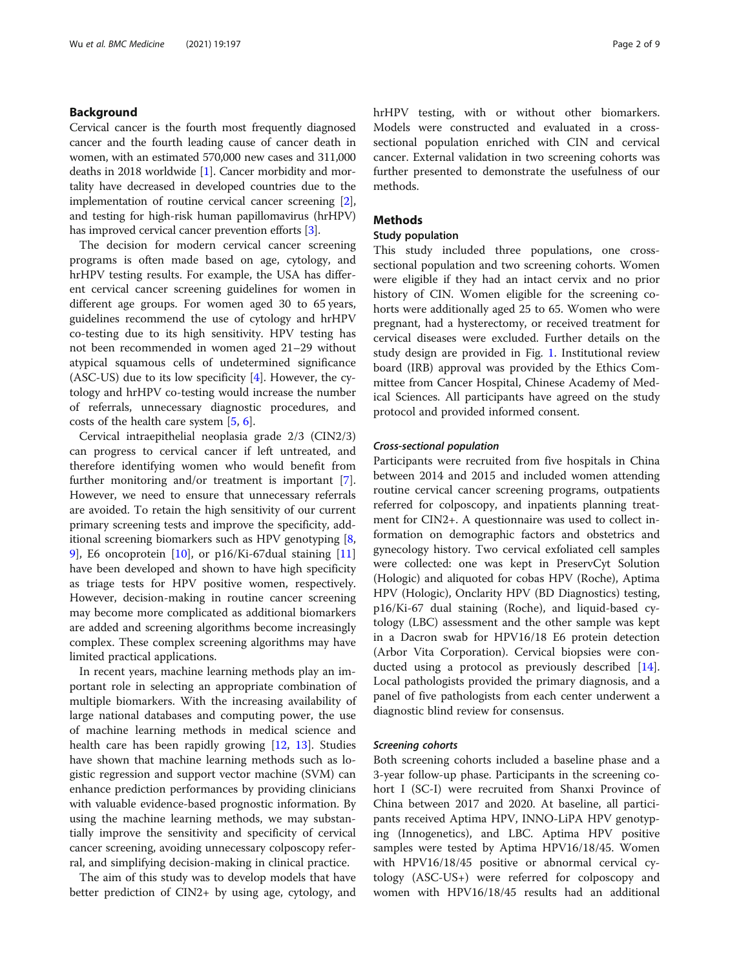# Background

Cervical cancer is the fourth most frequently diagnosed cancer and the fourth leading cause of cancer death in women, with an estimated 570,000 new cases and 311,000 deaths in 2018 worldwide [\[1\]](#page-8-0). Cancer morbidity and mortality have decreased in developed countries due to the implementation of routine cervical cancer screening [[2](#page-8-0)], and testing for high-risk human papillomavirus (hrHPV) has improved cervical cancer prevention efforts [[3](#page-8-0)].

The decision for modern cervical cancer screening programs is often made based on age, cytology, and hrHPV testing results. For example, the USA has different cervical cancer screening guidelines for women in different age groups. For women aged 30 to 65 years, guidelines recommend the use of cytology and hrHPV co-testing due to its high sensitivity. HPV testing has not been recommended in women aged 21–29 without atypical squamous cells of undetermined significance (ASC-US) due to its low specificity [[4\]](#page-8-0). However, the cytology and hrHPV co-testing would increase the number of referrals, unnecessary diagnostic procedures, and costs of the health care system [\[5](#page-8-0), [6](#page-8-0)].

Cervical intraepithelial neoplasia grade 2/3 (CIN2/3) can progress to cervical cancer if left untreated, and therefore identifying women who would benefit from further monitoring and/or treatment is important [\[7](#page-8-0)]. However, we need to ensure that unnecessary referrals are avoided. To retain the high sensitivity of our current primary screening tests and improve the specificity, additional screening biomarkers such as HPV genotyping [[8](#page-8-0), [9\]](#page-8-0), E6 oncoprotein [[10\]](#page-8-0), or p16/Ki-67dual staining [[11](#page-8-0)] have been developed and shown to have high specificity as triage tests for HPV positive women, respectively. However, decision-making in routine cancer screening may become more complicated as additional biomarkers are added and screening algorithms become increasingly complex. These complex screening algorithms may have limited practical applications.

In recent years, machine learning methods play an important role in selecting an appropriate combination of multiple biomarkers. With the increasing availability of large national databases and computing power, the use of machine learning methods in medical science and health care has been rapidly growing [\[12](#page-8-0), [13\]](#page-8-0). Studies have shown that machine learning methods such as logistic regression and support vector machine (SVM) can enhance prediction performances by providing clinicians with valuable evidence-based prognostic information. By using the machine learning methods, we may substantially improve the sensitivity and specificity of cervical cancer screening, avoiding unnecessary colposcopy referral, and simplifying decision-making in clinical practice.

The aim of this study was to develop models that have better prediction of CIN2+ by using age, cytology, and hrHPV testing, with or without other biomarkers. Models were constructed and evaluated in a crosssectional population enriched with CIN and cervical cancer. External validation in two screening cohorts was further presented to demonstrate the usefulness of our methods.

# **Methods**

## Study population

This study included three populations, one crosssectional population and two screening cohorts. Women were eligible if they had an intact cervix and no prior history of CIN. Women eligible for the screening cohorts were additionally aged 25 to 65. Women who were pregnant, had a hysterectomy, or received treatment for cervical diseases were excluded. Further details on the study design are provided in Fig. [1](#page-2-0). Institutional review board (IRB) approval was provided by the Ethics Committee from Cancer Hospital, Chinese Academy of Medical Sciences. All participants have agreed on the study protocol and provided informed consent.

# Cross-sectional population

Participants were recruited from five hospitals in China between 2014 and 2015 and included women attending routine cervical cancer screening programs, outpatients referred for colposcopy, and inpatients planning treatment for CIN2+. A questionnaire was used to collect information on demographic factors and obstetrics and gynecology history. Two cervical exfoliated cell samples were collected: one was kept in PreservCyt Solution (Hologic) and aliquoted for cobas HPV (Roche), Aptima HPV (Hologic), Onclarity HPV (BD Diagnostics) testing, p16/Ki-67 dual staining (Roche), and liquid-based cytology (LBC) assessment and the other sample was kept in a Dacron swab for HPV16/18 E6 protein detection (Arbor Vita Corporation). Cervical biopsies were conducted using a protocol as previously described [\[14](#page-8-0)]. Local pathologists provided the primary diagnosis, and a panel of five pathologists from each center underwent a diagnostic blind review for consensus.

#### Screening cohorts

Both screening cohorts included a baseline phase and a 3-year follow-up phase. Participants in the screening cohort I (SC-I) were recruited from Shanxi Province of China between 2017 and 2020. At baseline, all participants received Aptima HPV, INNO-LiPA HPV genotyping (Innogenetics), and LBC. Aptima HPV positive samples were tested by Aptima HPV16/18/45. Women with HPV16/18/45 positive or abnormal cervical cytology (ASC-US+) were referred for colposcopy and women with HPV16/18/45 results had an additional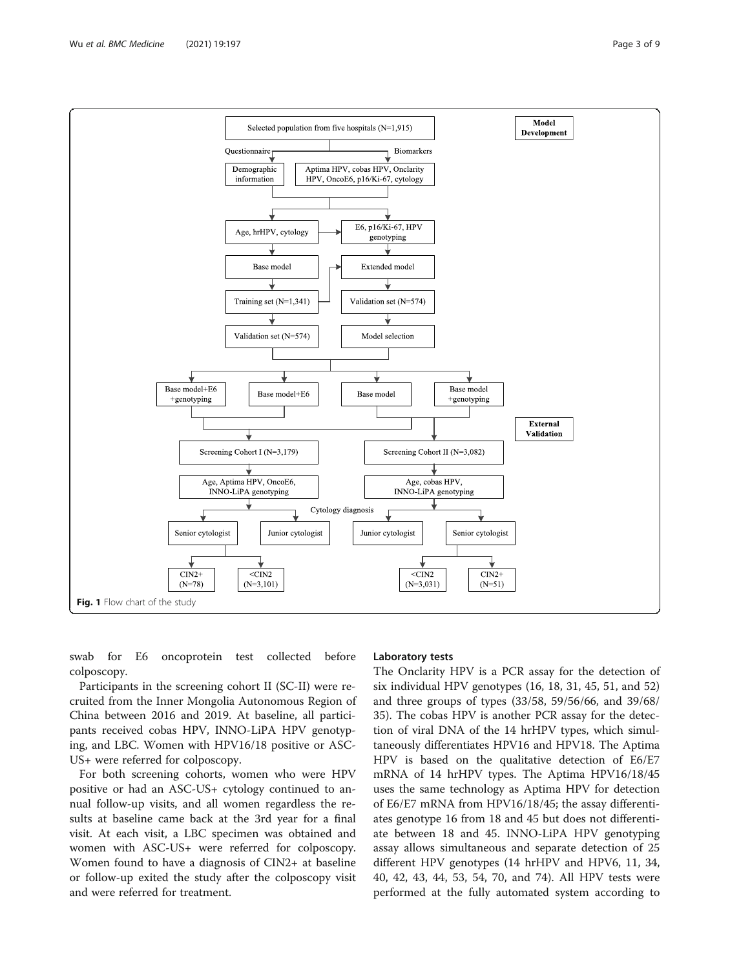<span id="page-2-0"></span>

swab for E6 oncoprotein test collected before colposcopy.

Participants in the screening cohort II (SC-II) were recruited from the Inner Mongolia Autonomous Region of China between 2016 and 2019. At baseline, all participants received cobas HPV, INNO-LiPA HPV genotyping, and LBC. Women with HPV16/18 positive or ASC-US+ were referred for colposcopy.

For both screening cohorts, women who were HPV positive or had an ASC-US+ cytology continued to annual follow-up visits, and all women regardless the results at baseline came back at the 3rd year for a final visit. At each visit, a LBC specimen was obtained and women with ASC-US+ were referred for colposcopy. Women found to have a diagnosis of CIN2+ at baseline or follow-up exited the study after the colposcopy visit and were referred for treatment.

#### Laboratory tests

The Onclarity HPV is a PCR assay for the detection of six individual HPV genotypes (16, 18, 31, 45, 51, and 52) and three groups of types (33/58, 59/56/66, and 39/68/ 35). The cobas HPV is another PCR assay for the detection of viral DNA of the 14 hrHPV types, which simultaneously differentiates HPV16 and HPV18. The Aptima HPV is based on the qualitative detection of E6/E7 mRNA of 14 hrHPV types. The Aptima HPV16/18/45 uses the same technology as Aptima HPV for detection of E6/E7 mRNA from HPV16/18/45; the assay differentiates genotype 16 from 18 and 45 but does not differentiate between 18 and 45. INNO-LiPA HPV genotyping assay allows simultaneous and separate detection of 25 different HPV genotypes (14 hrHPV and HPV6, 11, 34, 40, 42, 43, 44, 53, 54, 70, and 74). All HPV tests were performed at the fully automated system according to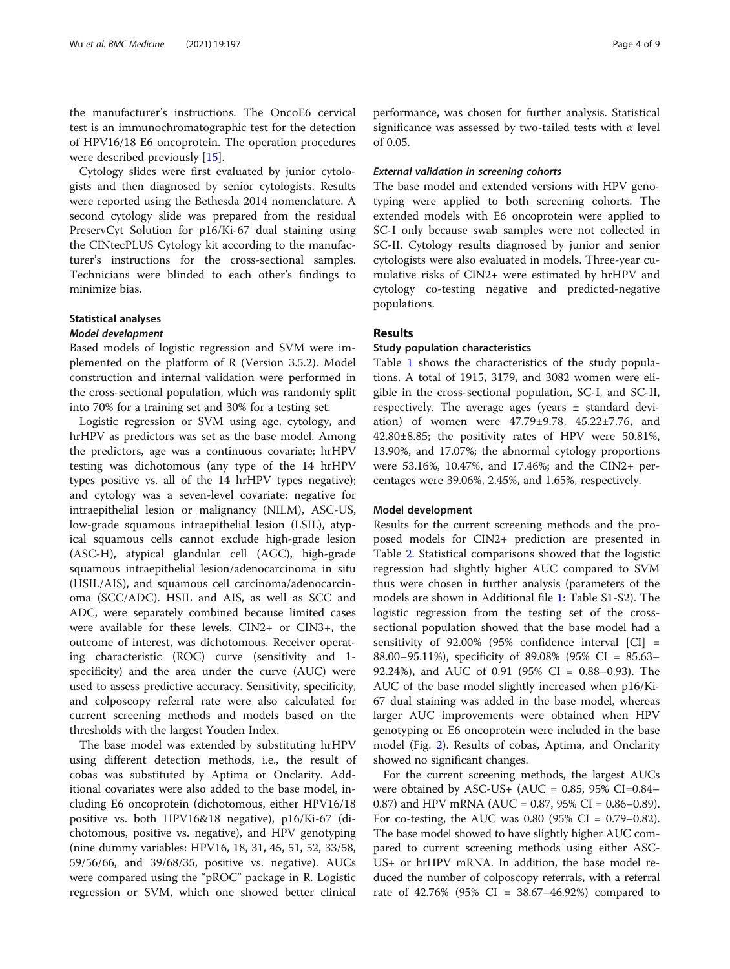the manufacturer's instructions. The OncoE6 cervical test is an immunochromatographic test for the detection of HPV16/18 E6 oncoprotein. The operation procedures were described previously [\[15](#page-8-0)].

Cytology slides were first evaluated by junior cytologists and then diagnosed by senior cytologists. Results were reported using the Bethesda 2014 nomenclature. A second cytology slide was prepared from the residual PreservCyt Solution for p16/Ki-67 dual staining using the CINtecPLUS Cytology kit according to the manufacturer's instructions for the cross-sectional samples. Technicians were blinded to each other's findings to minimize bias.

# Statistical analyses

# Model development

Based models of logistic regression and SVM were implemented on the platform of R (Version 3.5.2). Model construction and internal validation were performed in the cross-sectional population, which was randomly split into 70% for a training set and 30% for a testing set.

Logistic regression or SVM using age, cytology, and hrHPV as predictors was set as the base model. Among the predictors, age was a continuous covariate; hrHPV testing was dichotomous (any type of the 14 hrHPV types positive vs. all of the 14 hrHPV types negative); and cytology was a seven-level covariate: negative for intraepithelial lesion or malignancy (NILM), ASC-US, low-grade squamous intraepithelial lesion (LSIL), atypical squamous cells cannot exclude high-grade lesion (ASC-H), atypical glandular cell (AGC), high-grade squamous intraepithelial lesion/adenocarcinoma in situ (HSIL/AIS), and squamous cell carcinoma/adenocarcinoma (SCC/ADC). HSIL and AIS, as well as SCC and ADC, were separately combined because limited cases were available for these levels. CIN2+ or CIN3+, the outcome of interest, was dichotomous. Receiver operating characteristic (ROC) curve (sensitivity and 1 specificity) and the area under the curve (AUC) were used to assess predictive accuracy. Sensitivity, specificity, and colposcopy referral rate were also calculated for current screening methods and models based on the thresholds with the largest Youden Index.

The base model was extended by substituting hrHPV using different detection methods, i.e., the result of cobas was substituted by Aptima or Onclarity. Additional covariates were also added to the base model, including E6 oncoprotein (dichotomous, either HPV16/18 positive vs. both HPV16&18 negative), p16/Ki-67 (dichotomous, positive vs. negative), and HPV genotyping (nine dummy variables: HPV16, 18, 31, 45, 51, 52, 33/58, 59/56/66, and 39/68/35, positive vs. negative). AUCs were compared using the "pROC" package in R. Logistic regression or SVM, which one showed better clinical

performance, was chosen for further analysis. Statistical significance was assessed by two-tailed tests with  $\alpha$  level of 0.05.

## External validation in screening cohorts

The base model and extended versions with HPV genotyping were applied to both screening cohorts. The extended models with E6 oncoprotein were applied to SC-I only because swab samples were not collected in SC-II. Cytology results diagnosed by junior and senior cytologists were also evaluated in models. Three-year cumulative risks of CIN2+ were estimated by hrHPV and cytology co-testing negative and predicted-negative populations.

# Results

# Study population characteristics

Table [1](#page-4-0) shows the characteristics of the study populations. A total of 1915, 3179, and 3082 women were eligible in the cross-sectional population, SC-I, and SC-II, respectively. The average ages (years ± standard deviation) of women were 47.79±9.78, 45.22±7.76, and 42.80±8.85; the positivity rates of HPV were 50.81%, 13.90%, and 17.07%; the abnormal cytology proportions were 53.16%, 10.47%, and 17.46%; and the CIN2+ percentages were 39.06%, 2.45%, and 1.65%, respectively.

# Model development

Results for the current screening methods and the proposed models for CIN2+ prediction are presented in Table [2](#page-4-0). Statistical comparisons showed that the logistic regression had slightly higher AUC compared to SVM thus were chosen in further analysis (parameters of the models are shown in Additional file [1](#page-7-0): Table S1-S2). The logistic regression from the testing set of the crosssectional population showed that the base model had a sensitivity of 92.00% (95% confidence interval [CI] = 88.00–95.11%), specificity of 89.08% (95% CI = 85.63– 92.24%), and AUC of 0.91 (95% CI = 0.88–0.93). The AUC of the base model slightly increased when p16/Ki-67 dual staining was added in the base model, whereas larger AUC improvements were obtained when HPV genotyping or E6 oncoprotein were included in the base model (Fig. [2\)](#page-5-0). Results of cobas, Aptima, and Onclarity showed no significant changes.

For the current screening methods, the largest AUCs were obtained by ASC-US+ (AUC =  $0.85$ , 95% CI= $0.84-$ 0.87) and HPV mRNA (AUC = 0.87, 95% CI = 0.86–0.89). For co-testing, the AUC was  $0.80$  (95% CI = 0.79–0.82). The base model showed to have slightly higher AUC compared to current screening methods using either ASC-US+ or hrHPV mRNA. In addition, the base model reduced the number of colposcopy referrals, with a referral rate of 42.76% (95% CI = 38.67–46.92%) compared to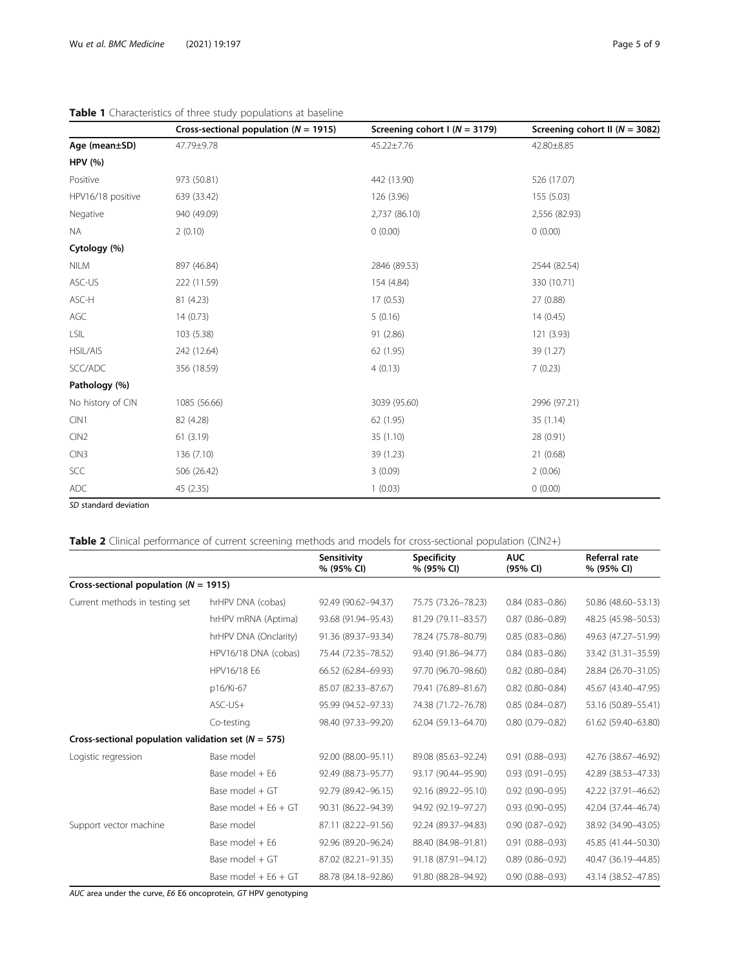|                   | Cross-sectional population ( $N = 1915$ ) | Screening cohort $I(N = 3179)$ | Screening cohort II ( $N = 3082$ ) |
|-------------------|-------------------------------------------|--------------------------------|------------------------------------|
| Age (mean±SD)     | 47.79±9.78                                | 45.22±7.76                     | 42.80±8.85                         |
| <b>HPV (%)</b>    |                                           |                                |                                    |
| Positive          | 973 (50.81)                               | 442 (13.90)                    | 526 (17.07)                        |
| HPV16/18 positive | 639 (33.42)                               | 126(3.96)                      | 155 (5.03)                         |
| Negative          | 940 (49.09)                               | 2,737 (86.10)                  | 2,556 (82.93)                      |
| <b>NA</b>         | 2(0.10)                                   | 0(0.00)                        | 0(0.00)                            |
| Cytology (%)      |                                           |                                |                                    |
| <b>NILM</b>       | 897 (46.84)                               | 2846 (89.53)                   | 2544 (82.54)                       |
| ASC-US            | 222 (11.59)                               | 154 (4.84)                     | 330 (10.71)                        |
| ASC-H             | 81 (4.23)                                 | 17(0.53)                       | 27 (0.88)                          |
| AGC               | 14(0.73)                                  | 5(0.16)                        | 14(0.45)                           |
| LSIL              | 103 (5.38)                                | 91 (2.86)                      | 121 (3.93)                         |
| HSIL/AIS          | 242 (12.64)                               | 62 (1.95)                      | 39 (1.27)                          |
| SCC/ADC           | 356 (18.59)                               | 4(0.13)                        | 7(0.23)                            |
| Pathology (%)     |                                           |                                |                                    |
| No history of CIN | 1085 (56.66)                              | 3039 (95.60)                   | 2996 (97.21)                       |
| CIN1              | 82 (4.28)                                 | 62 (1.95)                      | 35(1.14)                           |
| CIN2              | 61(3.19)                                  | 35 (1.10)                      | 28 (0.91)                          |
| CIN <sub>3</sub>  | 136 (7.10)                                | 39 (1.23)                      | 21 (0.68)                          |
| SCC               | 506 (26.42)                               | 3(0.09)                        | 2(0.06)                            |
| ADC               | 45 (2.35)                                 | 1(0.03)                        | 0(0.00)                            |

# <span id="page-4-0"></span>Table 1 Characteristics of three study populations at baseline

SD standard deviation

# Table 2 Clinical performance of current screening methods and models for cross-sectional population (CIN2+)

|                                                         |                        | Sensitivity<br>% (95% CI) | <b>Specificity</b><br>% (95% CI) | <b>AUC</b><br>(95% CI) | Referral rate<br>% (95% CI) |
|---------------------------------------------------------|------------------------|---------------------------|----------------------------------|------------------------|-----------------------------|
| Cross-sectional population ( $N = 1915$ )               |                        |                           |                                  |                        |                             |
| Current methods in testing set                          | hrHPV DNA (cobas)      | 92.49 (90.62-94.37)       | 75.75 (73.26-78.23)              | $0.84(0.83 - 0.86)$    | 50.86 (48.60-53.13)         |
|                                                         | hrHPV mRNA (Aptima)    | 93.68 (91.94-95.43)       | 81.29 (79.11-83.57)              | $0.87(0.86 - 0.89)$    | 48.25 (45.98-50.53)         |
|                                                         | hrHPV DNA (Onclarity)  | 91.36 (89.37-93.34)       | 78.24 (75.78-80.79)              | $0.85(0.83 - 0.86)$    | 49.63 (47.27-51.99)         |
|                                                         | HPV16/18 DNA (cobas)   | 75.44 (72.35-78.52)       | 93.40 (91.86-94.77)              | $0.84(0.83 - 0.86)$    | 33.42 (31.31-35.59)         |
|                                                         | HPV16/18 E6            | 66.52 (62.84-69.93)       | 97.70 (96.70-98.60)              | $0.82$ (0.80-0.84)     | 28.84 (26.70-31.05)         |
|                                                         | p16/Ki-67              | 85.07 (82.33-87.67)       | 79.41 (76.89-81.67)              | $0.82$ (0.80-0.84)     | 45.67 (43.40-47.95)         |
|                                                         | $ASC$ -US $+$          | 95.99 (94.52-97.33)       | 74.38 (71.72-76.78)              | $0.85(0.84 - 0.87)$    | 53.16 (50.89-55.41)         |
|                                                         | Co-testing             | 98.40 (97.33-99.20)       | 62.04 (59.13-64.70)              | $0.80(0.79 - 0.82)$    | 61.62 (59.40-63.80)         |
| Cross-sectional population validation set ( $N = 575$ ) |                        |                           |                                  |                        |                             |
| Logistic regression                                     | Base model             | 92.00 (88.00-95.11)       | 89.08 (85.63-92.24)              | $0.91(0.88 - 0.93)$    | 42.76 (38.67-46.92)         |
|                                                         | Base model + E6        | 92.49 (88.73-95.77)       | 93.17 (90.44-95.90)              | $0.93(0.91 - 0.95)$    | 42.89 (38.53-47.33)         |
|                                                         | Base model + GT        | 92.79 (89.42-96.15)       | 92.16 (89.22-95.10)              | $0.92(0.90 - 0.95)$    | 42.22 (37.91-46.62)         |
|                                                         | Base model + $E6 + GT$ | 90.31 (86.22-94.39)       | 94.92 (92.19-97.27)              | $0.93(0.90 - 0.95)$    | 42.04 (37.44-46.74)         |
| Support vector machine                                  | Base model             | 87.11 (82.22-91.56)       | 92.24 (89.37-94.83)              | $0.90(0.87 - 0.92)$    | 38.92 (34.90-43.05)         |
|                                                         | Base model + E6        | 92.96 (89.20-96.24)       | 88.40 (84.98-91.81)              | $0.91(0.88 - 0.93)$    | 45.85 (41.44-50.30)         |
|                                                         | Base model + GT        | 87.02 (82.21-91.35)       | 91.18 (87.91-94.12)              | $0.89(0.86 - 0.92)$    | 40.47 (36.19-44.85)         |
|                                                         | Base model $+ E6 + GT$ | 88.78 (84.18-92.86)       | 91.80 (88.28-94.92)              | $0.90(0.88 - 0.93)$    | 43.14 (38.52-47.85)         |

AUC area under the curve, E6 E6 oncoprotein, GT HPV genotyping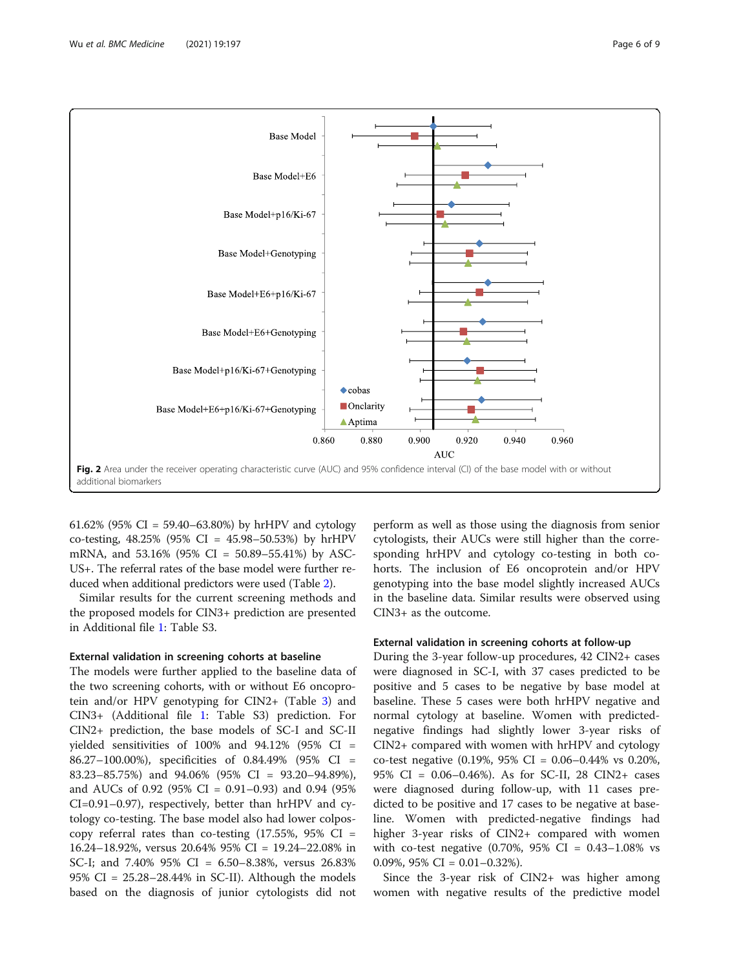<span id="page-5-0"></span>

61.62% (95% CI = 59.40–63.80%) by hrHPV and cytology co-testing, 48.25% (95% CI = 45.98–50.53%) by hrHPV mRNA, and 53.16% (95% CI = 50.89–55.41%) by ASC-US+. The referral rates of the base model were further reduced when additional predictors were used (Table [2\)](#page-4-0).

Similar results for the current screening methods and the proposed models for CIN3+ prediction are presented in Additional file [1:](#page-7-0) Table S3.

# External validation in screening cohorts at baseline

The models were further applied to the baseline data of the two screening cohorts, with or without E6 oncoprotein and/or HPV genotyping for CIN2+ (Table [3\)](#page-6-0) and CIN3+ (Additional file [1](#page-7-0): Table S3) prediction. For CIN2+ prediction, the base models of SC-I and SC-II yielded sensitivities of 100% and  $94.12\%$  (95% CI = 86.27–100.00%), specificities of 0.84.49% (95% CI = 83.23–85.75%) and 94.06% (95% CI = 93.20–94.89%), and AUCs of 0.92 (95% CI = 0.91–0.93) and 0.94 (95% CI=0.91–0.97), respectively, better than hrHPV and cytology co-testing. The base model also had lower colposcopy referral rates than co-testing  $(17.55\%, 95\% \text{ CI} =$ 16.24–18.92%, versus 20.64% 95% CI = 19.24–22.08% in SC-I; and 7.40% 95% CI = 6.50–8.38%, versus 26.83%  $95\%$  CI = 25.28–28.44% in SC-II). Although the models based on the diagnosis of junior cytologists did not

perform as well as those using the diagnosis from senior cytologists, their AUCs were still higher than the corresponding hrHPV and cytology co-testing in both cohorts. The inclusion of E6 oncoprotein and/or HPV genotyping into the base model slightly increased AUCs in the baseline data. Similar results were observed using CIN3+ as the outcome.

# External validation in screening cohorts at follow-up

During the 3-year follow-up procedures, 42 CIN2+ cases were diagnosed in SC-I, with 37 cases predicted to be positive and 5 cases to be negative by base model at baseline. These 5 cases were both hrHPV negative and normal cytology at baseline. Women with predictednegative findings had slightly lower 3-year risks of CIN2+ compared with women with hrHPV and cytology co-test negative (0.19%, 95% CI = 0.06–0.44% vs 0.20%, 95% CI = 0.06–0.46%). As for SC-II, 28 CIN2+ cases were diagnosed during follow-up, with 11 cases predicted to be positive and 17 cases to be negative at baseline. Women with predicted-negative findings had higher 3-year risks of CIN2+ compared with women with co-test negative  $(0.70\%, 95\% \text{ CI} = 0.43 - 1.08\% \text{ vs }$ 0.09%,  $95\%$  CI = 0.01–0.32%).

Since the 3-year risk of CIN2+ was higher among women with negative results of the predictive model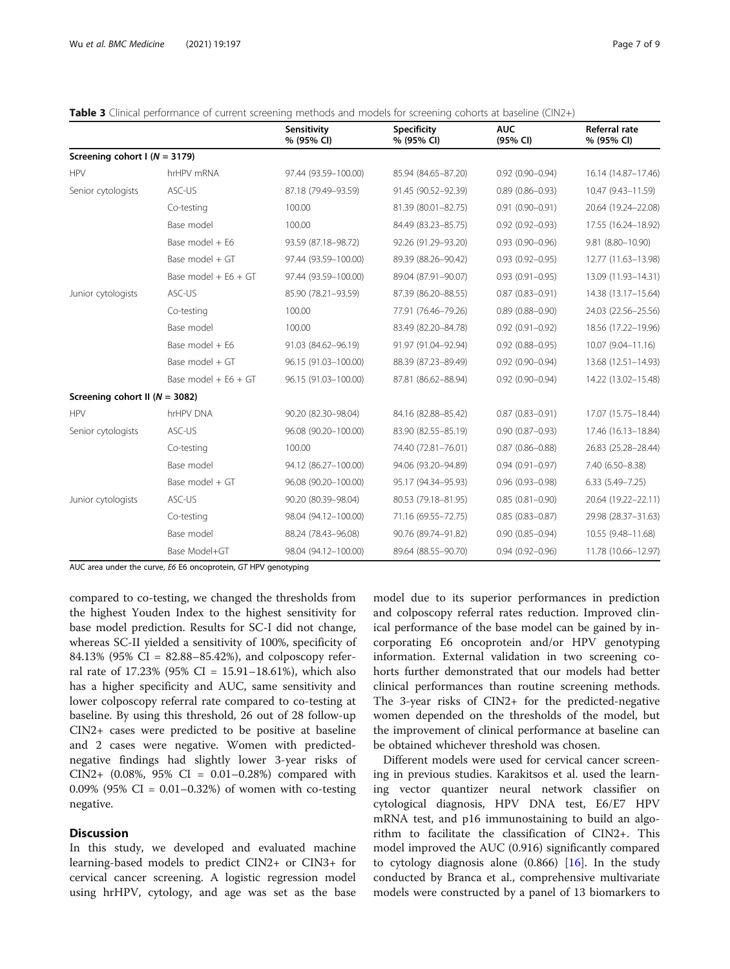<span id="page-6-0"></span>

|  | <b>Table 3</b> Clinical performance of current screening methods and models for screening cohorts at baseline (CIN2+) |  |
|--|-----------------------------------------------------------------------------------------------------------------------|--|
|  |                                                                                                                       |  |

|                                    |                        | Sensitivity<br>% (95% CI) | <b>Specificity</b><br>% (95% CI) | <b>AUC</b><br>(95% CI) | <b>Referral rate</b><br>% (95% CI) |
|------------------------------------|------------------------|---------------------------|----------------------------------|------------------------|------------------------------------|
| Screening cohort $I(N = 3179)$     |                        |                           |                                  |                        |                                    |
| <b>HPV</b>                         | hrHPV mRNA             | 97.44 (93.59-100.00)      | 85.94 (84.65-87.20)              | $0.92(0.90 - 0.94)$    | 16.14 (14.87-17.46)                |
| Senior cytologists                 | ASC-US                 | 87.18 (79.49-93.59)       | 91.45 (90.52-92.39)              | $0.89(0.86 - 0.93)$    | 10.47 (9.43-11.59)                 |
|                                    | Co-testing             | 100.00                    | 81.39 (80.01-82.75)              | $0.91(0.90 - 0.91)$    | 20.64 (19.24-22.08)                |
|                                    | Base model             | 100.00                    | 84.49 (83.23-85.75)              | $0.92(0.92 - 0.93)$    | 17.55 (16.24-18.92)                |
|                                    | Base model + E6        | 93.59 (87.18-98.72)       | 92.26 (91.29-93.20)              | $0.93(0.90 - 0.96)$    | 9.81 (8.80-10.90)                  |
|                                    | Base model + GT        | 97.44 (93.59-100.00)      | 89.39 (88.26-90.42)              | $0.93(0.92 - 0.95)$    | 12.77 (11.63-13.98)                |
|                                    | Base model + $E6 + GT$ | 97.44 (93.59-100.00)      | 89.04 (87.91-90.07)              | $0.93(0.91 - 0.95)$    | 13.09 (11.93-14.31)                |
| Junior cytologists                 | ASC-US                 | 85.90 (78.21-93.59)       | 87.39 (86.20-88.55)              | $0.87(0.83 - 0.91)$    | 14.38 (13.17-15.64)                |
|                                    | Co-testing             | 100.00                    | 77.91 (76.46-79.26)              | $0.89(0.88 - 0.90)$    | 24.03 (22.56-25.56)                |
|                                    | Base model             | 100.00                    | 83.49 (82.20-84.78)              | $0.92(0.91 - 0.92)$    | 18.56 (17.22-19.96)                |
|                                    | Base model + E6        | 91.03 (84.62-96.19)       | 91.97 (91.04-92.94)              | $0.92$ $(0.88 - 0.95)$ | 10.07 (9.04-11.16)                 |
|                                    | Base model + GT        | 96.15 (91.03-100.00)      | 88.39 (87.23-89.49)              | $0.92(0.90 - 0.94)$    | 13.68 (12.51-14.93)                |
|                                    | Base model $+ E6 + GT$ | 96.15 (91.03-100.00)      | 87.81 (86.62-88.94)              | $0.92(0.90 - 0.94)$    | 14.22 (13.02-15.48)                |
| Screening cohort II ( $N = 3082$ ) |                        |                           |                                  |                        |                                    |
| <b>HPV</b>                         | hrHPV DNA              | 90.20 (82.30-98.04)       | 84.16 (82.88-85.42)              | $0.87(0.83 - 0.91)$    | 17.07 (15.75-18.44)                |
| Senior cytologists                 | ASC-US                 | 96.08 (90.20-100.00)      | 83.90 (82.55-85.19)              | $0.90(0.87 - 0.93)$    | 17.46 (16.13-18.84)                |
|                                    | Co-testing             | 100.00                    | 74.40 (72.81-76.01)              | $0.87(0.86 - 0.88)$    | 26.83 (25.28-28.44)                |
|                                    | Base model             | 94.12 (86.27-100.00)      | 94.06 (93.20-94.89)              | $0.94(0.91 - 0.97)$    | 7.40 (6.50-8.38)                   |
|                                    | Base model + GT        | 96.08 (90.20-100.00)      | 95.17 (94.34-95.93)              | $0.96(0.93 - 0.98)$    | $6.33(5.49 - 7.25)$                |
| Junior cytologists                 | ASC-US                 | 90.20 (80.39-98.04)       | 80.53 (79.18-81.95)              | $0.85(0.81 - 0.90)$    | 20.64 (19.22-22.11)                |
|                                    | Co-testing             | 98.04 (94.12-100.00)      | 71.16 (69.55-72.75)              | $0.85(0.83 - 0.87)$    | 29.98 (28.37-31.63)                |
|                                    | Base model             | 88.24 (78.43-96.08)       | 90.76 (89.74-91.82)              | $0.90(0.85 - 0.94)$    | 10.55 (9.48-11.68)                 |
|                                    | Base Model+GT          | 98.04 (94.12-100.00)      | 89.64 (88.55-90.70)              | $0.94(0.92 - 0.96)$    | 11.78 (10.66-12.97)                |

AUC area under the curve, E6 E6 oncoprotein, GT HPV genotyping

compared to co-testing, we changed the thresholds from the highest Youden Index to the highest sensitivity for base model prediction. Results for SC-I did not change, whereas SC-II yielded a sensitivity of 100%, specificity of 84.13% (95% CI = 82.88–85.42%), and colposcopy referral rate of  $17.23\%$  (95% CI =  $15.91-18.61\%$ ), which also has a higher specificity and AUC, same sensitivity and lower colposcopy referral rate compared to co-testing at baseline. By using this threshold, 26 out of 28 follow-up CIN2+ cases were predicted to be positive at baseline and 2 cases were negative. Women with predictednegative findings had slightly lower 3-year risks of CIN2+  $(0.08\%, 95\% \text{ CI} = 0.01 - 0.28\%)$  compared with 0.09% (95% CI = 0.01–0.32%) of women with co-testing negative.

# **Discussion**

In this study, we developed and evaluated machine learning-based models to predict CIN2+ or CIN3+ for cervical cancer screening. A logistic regression model using hrHPV, cytology, and age was set as the base model due to its superior performances in prediction and colposcopy referral rates reduction. Improved clinical performance of the base model can be gained by incorporating E6 oncoprotein and/or HPV genotyping information. External validation in two screening cohorts further demonstrated that our models had better clinical performances than routine screening methods. The 3-year risks of CIN2+ for the predicted-negative women depended on the thresholds of the model, but the improvement of clinical performance at baseline can be obtained whichever threshold was chosen.

Different models were used for cervical cancer screening in previous studies. Karakitsos et al. used the learning vector quantizer neural network classifier on cytological diagnosis, HPV DNA test, E6/E7 HPV mRNA test, and p16 immunostaining to build an algorithm to facilitate the classification of CIN2+. This model improved the AUC (0.916) significantly compared to cytology diagnosis alone  $(0.866)$   $[16]$ . In the study conducted by Branca et al., comprehensive multivariate models were constructed by a panel of 13 biomarkers to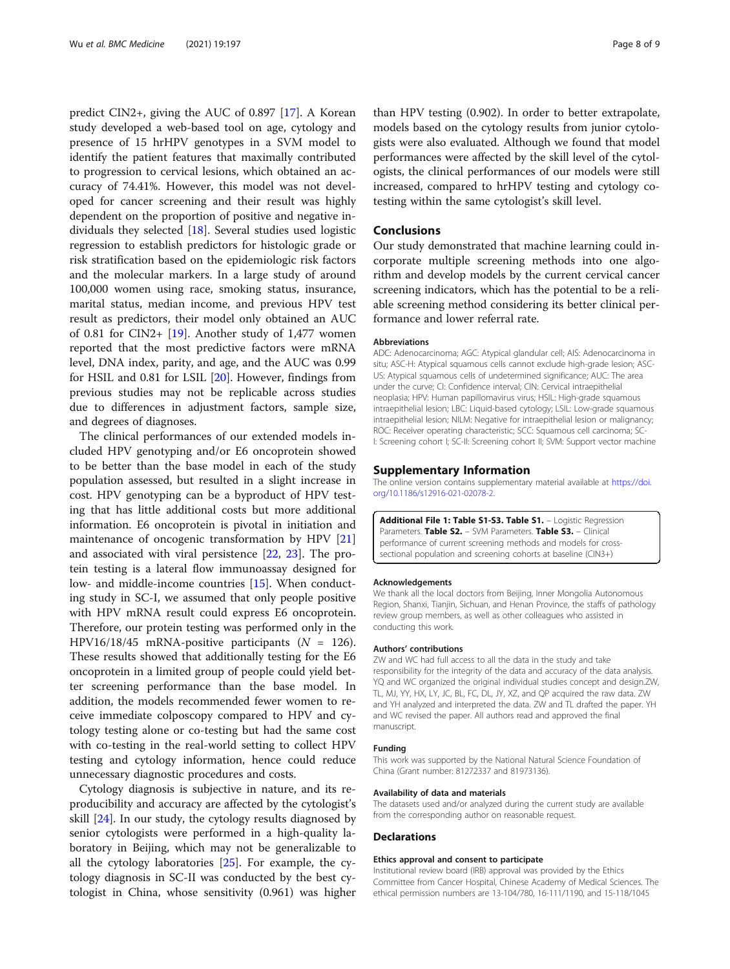<span id="page-7-0"></span>predict CIN2+, giving the AUC of 0.897 [[17\]](#page-8-0). A Korean study developed a web-based tool on age, cytology and presence of 15 hrHPV genotypes in a SVM model to identify the patient features that maximally contributed to progression to cervical lesions, which obtained an accuracy of 74.41%. However, this model was not developed for cancer screening and their result was highly dependent on the proportion of positive and negative individuals they selected [\[18](#page-8-0)]. Several studies used logistic regression to establish predictors for histologic grade or risk stratification based on the epidemiologic risk factors and the molecular markers. In a large study of around 100,000 women using race, smoking status, insurance, marital status, median income, and previous HPV test result as predictors, their model only obtained an AUC of 0.81 for CIN2+ [\[19\]](#page-8-0). Another study of 1,477 women reported that the most predictive factors were mRNA level, DNA index, parity, and age, and the AUC was 0.99 for HSIL and 0.81 for LSIL [[20\]](#page-8-0). However, findings from previous studies may not be replicable across studies due to differences in adjustment factors, sample size, and degrees of diagnoses.

The clinical performances of our extended models included HPV genotyping and/or E6 oncoprotein showed to be better than the base model in each of the study population assessed, but resulted in a slight increase in cost. HPV genotyping can be a byproduct of HPV testing that has little additional costs but more additional information. E6 oncoprotein is pivotal in initiation and maintenance of oncogenic transformation by HPV [[21](#page-8-0)] and associated with viral persistence [\[22](#page-8-0), [23](#page-8-0)]. The protein testing is a lateral flow immunoassay designed for low- and middle-income countries [[15\]](#page-8-0). When conducting study in SC-I, we assumed that only people positive with HPV mRNA result could express E6 oncoprotein. Therefore, our protein testing was performed only in the HPV16/18/45 mRNA-positive participants ( $N = 126$ ). These results showed that additionally testing for the E6 oncoprotein in a limited group of people could yield better screening performance than the base model. In addition, the models recommended fewer women to receive immediate colposcopy compared to HPV and cytology testing alone or co-testing but had the same cost with co-testing in the real-world setting to collect HPV testing and cytology information, hence could reduce unnecessary diagnostic procedures and costs.

Cytology diagnosis is subjective in nature, and its reproducibility and accuracy are affected by the cytologist's skill [\[24](#page-8-0)]. In our study, the cytology results diagnosed by senior cytologists were performed in a high-quality laboratory in Beijing, which may not be generalizable to all the cytology laboratories [\[25\]](#page-8-0). For example, the cytology diagnosis in SC-II was conducted by the best cytologist in China, whose sensitivity (0.961) was higher than HPV testing (0.902). In order to better extrapolate, models based on the cytology results from junior cytologists were also evaluated. Although we found that model performances were affected by the skill level of the cytologists, the clinical performances of our models were still increased, compared to hrHPV testing and cytology cotesting within the same cytologist's skill level.

# Conclusions

Our study demonstrated that machine learning could incorporate multiple screening methods into one algorithm and develop models by the current cervical cancer screening indicators, which has the potential to be a reliable screening method considering its better clinical performance and lower referral rate.

#### Abbreviations

ADC: Adenocarcinoma; AGC: Atypical glandular cell; AIS: Adenocarcinoma in situ; ASC-H: Atypical squamous cells cannot exclude high-grade lesion; ASC-US: Atypical squamous cells of undetermined significance; AUC: The area under the curve; CI: Confidence interval; CIN: Cervical intraepithelial neoplasia; HPV: Human papillomavirus virus; HSIL: High-grade squamous intraepithelial lesion; LBC: Liquid-based cytology; LSIL: Low-grade squamous intraepithelial lesion; NILM: Negative for intraepithelial lesion or malignancy; ROC: Receiver operating characteristic; SCC: Squamous cell carcinoma; SC-I: Screening cohort I; SC-II: Screening cohort II; SVM: Support vector machine

#### Supplementary Information

The online version contains supplementary material available at [https://doi.](https://doi.org/10.1186/s12916-021-02078-2) [org/10.1186/s12916-021-02078-2.](https://doi.org/10.1186/s12916-021-02078-2)

Additional File 1: Table S1-S3. Table S1. - Logistic Regression Parameters. Table S2. - SVM Parameters. Table S3. - Clinical performance of current screening methods and models for crosssectional population and screening cohorts at baseline (CIN3+)

#### Acknowledgements

We thank all the local doctors from Beijing, Inner Mongolia Autonomous Region, Shanxi, Tianjin, Sichuan, and Henan Province, the staffs of pathology review group members, as well as other colleagues who assisted in conducting this work.

### Authors' contributions

ZW and WC had full access to all the data in the study and take responsibility for the integrity of the data and accuracy of the data analysis. YO and WC organized the original individual studies concept and design. ZW. TL, MJ, YY, HX, LY, JC, BL, FC, DL, JY, XZ, and QP acquired the raw data. ZW and YH analyzed and interpreted the data. ZW and TL drafted the paper. YH and WC revised the paper. All authors read and approved the final manuscript.

#### Funding

This work was supported by the National Natural Science Foundation of China (Grant number: 81272337 and 81973136).

#### Availability of data and materials

The datasets used and/or analyzed during the current study are available from the corresponding author on reasonable request.

#### Declarations

#### Ethics approval and consent to participate

Institutional review board (IRB) approval was provided by the Ethics Committee from Cancer Hospital, Chinese Academy of Medical Sciences. The ethical permission numbers are 13-104/780, 16-111/1190, and 15-118/1045